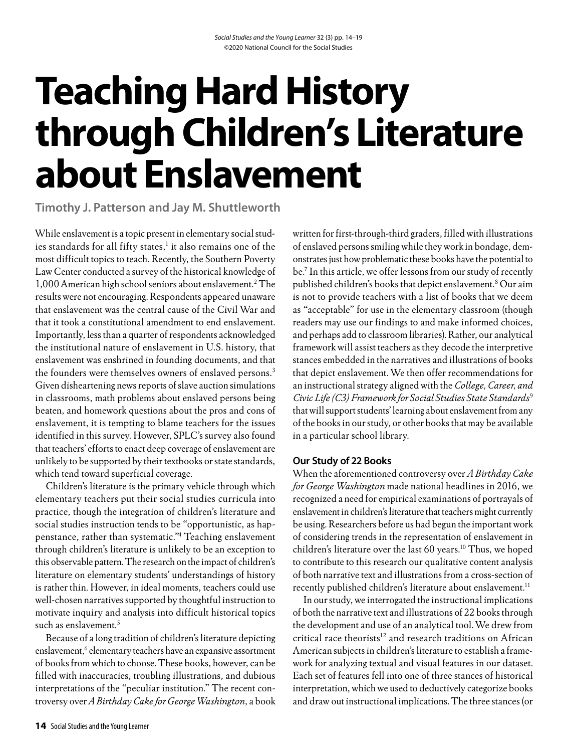# **Teaching Hard History through Children's Literature about Enslavement**

**Timothy J. Patterson and Jay M. Shuttleworth**

While enslavement is a topic present in elementary social studies standards for all fifty states,<sup>1</sup> it also remains one of the most difficult topics to teach. Recently, the Southern Poverty Law Center conducted a survey of the historical knowledge of 1,000 American high school seniors about enslavement.2 The results were not encouraging. Respondents appeared unaware that enslavement was the central cause of the Civil War and that it took a constitutional amendment to end enslavement. Importantly, less than a quarter of respondents acknowledged the institutional nature of enslavement in U.S. history, that enslavement was enshrined in founding documents, and that the founders were themselves owners of enslaved persons.<sup>3</sup> Given disheartening news reports of slave auction simulations in classrooms, math problems about enslaved persons being beaten, and homework questions about the pros and cons of enslavement, it is tempting to blame teachers for the issues identified in this survey. However, SPLC's survey also found that teachers' efforts to enact deep coverage of enslavement are unlikely to be supported by their textbooks or state standards, which tend toward superficial coverage.

Children's literature is the primary vehicle through which elementary teachers put their social studies curricula into practice, though the integration of children's literature and social studies instruction tends to be "opportunistic, as happenstance, rather than systematic."4 Teaching enslavement through children's literature is unlikely to be an exception to this observable pattern. The research on the impact of children's literature on elementary students' understandings of history is rather thin. However, in ideal moments, teachers could use well-chosen narratives supported by thoughtful instruction to motivate inquiry and analysis into difficult historical topics such as enslavement.<sup>5</sup>

Because of a long tradition of children's literature depicting enslavement,<sup>6</sup> elementary teachers have an expansive assortment of books from which to choose. These books, however, can be filled with inaccuracies, troubling illustrations, and dubious interpretations of the "peculiar institution." The recent controversy over *A Birthday Cake for George Washington*, a book written for first-through-third graders, filled with illustrations of enslaved persons smiling while they work in bondage, demonstrates just how problematic these books have the potential to be.7 In this article, we offer lessons from our study of recently published children's books that depict enslavement.<sup>8</sup> Our aim is not to provide teachers with a list of books that we deem as "acceptable" for use in the elementary classroom (though readers may use our findings to and make informed choices, and perhaps add to classroom libraries). Rather, our analytical framework will assist teachers as they decode the interpretive stances embedded in the narratives and illustrations of books that depict enslavement. We then offer recommendations for an instructional strategy aligned with the *College, Career, and Civic Life (C3) Framework for Social Studies State Standards*<sup>9</sup> that will support students' learning about enslavement from any of the books in our study, or other books that may be available in a particular school library.

#### **Our Study of 22 Books**

When the aforementioned controversy over *A Birthday Cake for George Washington* made national headlines in 2016, we recognized a need for empirical examinations of portrayals of enslavement in children's literature that teachers might currently be using. Researchers before us had begun the important work of considering trends in the representation of enslavement in children's literature over the last 60 years.<sup>10</sup> Thus, we hoped to contribute to this research our qualitative content analysis of both narrative text and illustrations from a cross-section of recently published children's literature about enslavement.<sup>11</sup>

In our study, we interrogated the instructional implications of both the narrative text and illustrations of 22 books through the development and use of an analytical tool. We drew from critical race theorists<sup>12</sup> and research traditions on African American subjects in children's literature to establish a framework for analyzing textual and visual features in our dataset. Each set of features fell into one of three stances of historical interpretation, which we used to deductively categorize books and draw out instructional implications. The three stances (or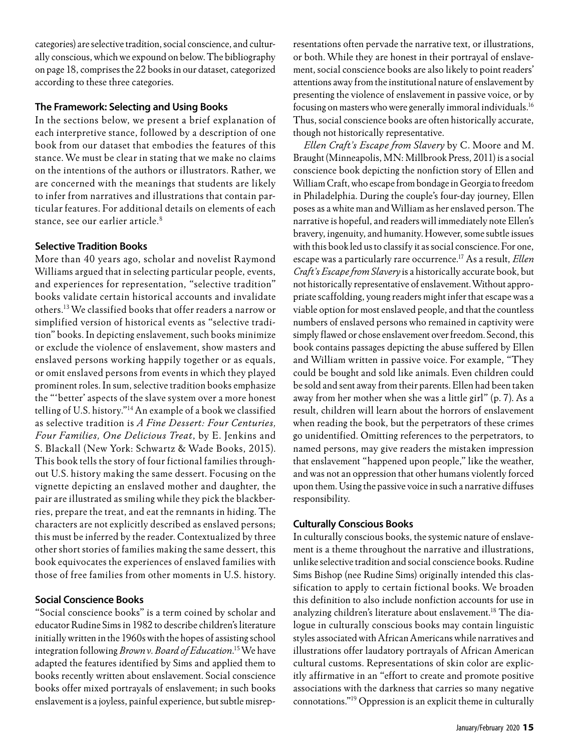categories) are selective tradition, social conscience, and culturally conscious, which we expound on below. The bibliography on page 18, comprises the 22 books in our dataset, categorized according to these three categories.

#### **The Framework: Selecting and Using Books**

In the sections below, we present a brief explanation of each interpretive stance, followed by a description of one book from our dataset that embodies the features of this stance. We must be clear in stating that we make no claims on the intentions of the authors or illustrators. Rather, we are concerned with the meanings that students are likely to infer from narratives and illustrations that contain particular features. For additional details on elements of each stance, see our earlier article.<sup>8</sup>

#### **Selective Tradition Books**

More than 40 years ago, scholar and novelist Raymond Williams argued that in selecting particular people, events, and experiences for representation, "selective tradition" books validate certain historical accounts and invalidate others.13 We classified books that offer readers a narrow or simplified version of historical events as "selective tradition" books. In depicting enslavement, such books minimize or exclude the violence of enslavement, show masters and enslaved persons working happily together or as equals, or omit enslaved persons from events in which they played prominent roles. In sum, selective tradition books emphasize the "'better' aspects of the slave system over a more honest telling of U.S. history."14 An example of a book we classified as selective tradition is *A Fine Dessert: Four Centuries, Four Families, One Delicious Treat*, by E. Jenkins and S. Blackall (New York: Schwartz & Wade Books, 2015). This book tells the story of four fictional families throughout U.S. history making the same dessert. Focusing on the vignette depicting an enslaved mother and daughter, the pair are illustrated as smiling while they pick the blackberries, prepare the treat, and eat the remnants in hiding. The characters are not explicitly described as enslaved persons; this must be inferred by the reader. Contextualized by three other short stories of families making the same dessert, this book equivocates the experiences of enslaved families with those of free families from other moments in U.S. history.

#### **Social Conscience Books**

"Social conscience books" is a term coined by scholar and educator Rudine Sims in 1982 to describe children's literature initially written in the 1960s with the hopes of assisting school integration following *Brown v. Board of Education*. 15 We have adapted the features identified by Sims and applied them to books recently written about enslavement. Social conscience books offer mixed portrayals of enslavement; in such books enslavement is a joyless, painful experience, but subtle misrepresentations often pervade the narrative text, or illustrations, or both. While they are honest in their portrayal of enslavement, social conscience books are also likely to point readers' attentions away from the institutional nature of enslavement by presenting the violence of enslavement in passive voice, or by focusing on masters who were generally immoral individuals.<sup>16</sup> Thus, social conscience books are often historically accurate, though not historically representative.

*Ellen Craft's Escape from Slavery* by C. Moore and M. Braught (Minneapolis, MN: Millbrook Press, 2011) is a social conscience book depicting the nonfiction story of Ellen and William Craft, who escape from bondage in Georgia to freedom in Philadelphia. During the couple's four-day journey, Ellen poses as a white man and William as her enslaved person. The narrative is hopeful, and readers will immediately note Ellen's bravery, ingenuity, and humanity. However, some subtle issues with this book led us to classify it as social conscience. For one, escape was a particularly rare occurrence.17 As a result, *Ellen Craft's Escape from Slavery* is a historically accurate book, but not historically representative of enslavement. Without appropriate scaffolding, young readers might infer that escape was a viable option for most enslaved people, and that the countless numbers of enslaved persons who remained in captivity were simply flawed or chose enslavement over freedom. Second, this book contains passages depicting the abuse suffered by Ellen and William written in passive voice. For example, "They could be bought and sold like animals. Even children could be sold and sent away from their parents. Ellen had been taken away from her mother when she was a little girl" (p. 7). As a result, children will learn about the horrors of enslavement when reading the book, but the perpetrators of these crimes go unidentified. Omitting references to the perpetrators, to named persons, may give readers the mistaken impression that enslavement "happened upon people," like the weather, and was not an oppression that other humans violently forced upon them. Using the passive voice in such a narrative diffuses responsibility.

#### **Culturally Conscious Books**

In culturally conscious books, the systemic nature of enslavement is a theme throughout the narrative and illustrations, unlike selective tradition and social conscience books. Rudine Sims Bishop (nee Rudine Sims) originally intended this classification to apply to certain fictional books. We broaden this definition to also include nonfiction accounts for use in analyzing children's literature about enslavement.<sup>18</sup> The dialogue in culturally conscious books may contain linguistic styles associated with African Americans while narratives and illustrations offer laudatory portrayals of African American cultural customs. Representations of skin color are explicitly affirmative in an "effort to create and promote positive associations with the darkness that carries so many negative connotations."19 Oppression is an explicit theme in culturally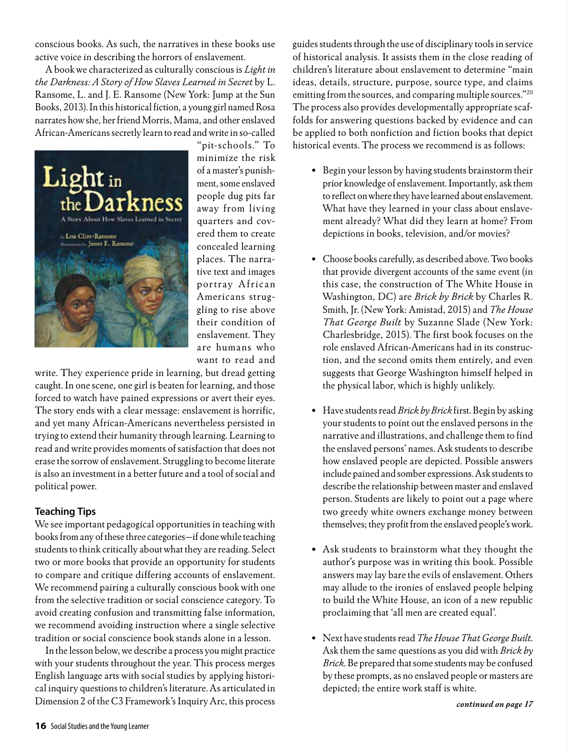conscious books. As such, the narratives in these books use active voice in describing the horrors of enslavement.

A book we characterized as culturally conscious is *Light in the Darkness: A Story of How Slaves Learned in Secret* by L. Ransome, L. and J. E. Ransome (New York: Jump at the Sun Books, 2013). In this historical fiction, a young girl named Rosa narrates how she, her friend Morris, Mama, and other enslaved African-Americans secretly learn to read and write in so-called



"pit-schools." To minimize the risk of a master's punishment, some enslaved people dug pits far away from living quarters and covered them to create concealed learning places. The narrative text and images portray African Americans struggling to rise above their condition of enslavement. They are humans who want to read and

write. They experience pride in learning, but dread getting caught. In one scene, one girl is beaten for learning, and those forced to watch have pained expressions or avert their eyes. The story ends with a clear message: enslavement is horrific, and yet many African-Americans nevertheless persisted in trying to extend their humanity through learning. Learning to read and write provides moments of satisfaction that does not erase the sorrow of enslavement. Struggling to become literate is also an investment in a better future and a tool of social and political power.

#### **Teaching Tips**

We see important pedagogical opportunities in teaching with books from any of these three categories—if done while teaching students to think critically about what they are reading. Select two or more books that provide an opportunity for students to compare and critique differing accounts of enslavement. We recommend pairing a culturally conscious book with one from the selective tradition or social conscience category. To avoid creating confusion and transmitting false information, we recommend avoiding instruction where a single selective tradition or social conscience book stands alone in a lesson.

In the lesson below, we describe a process you might practice with your students throughout the year. This process merges English language arts with social studies by applying historical inquiry questions to children's literature. As articulated in Dimension 2 of the C3 Framework's Inquiry Arc, this process

guides students through the use of disciplinary tools in service of historical analysis. It assists them in the close reading of children's literature about enslavement to determine "main ideas, details, structure, purpose, source type, and claims emitting from the sources, and comparing multiple sources."<sup>20</sup> The process also provides developmentally appropriate scaffolds for answering questions backed by evidence and can be applied to both nonfiction and fiction books that depict historical events. The process we recommend is as follows:

- Begin your lesson by having students brainstorm their prior knowledge of enslavement. Importantly, ask them to reflect on where they have learned about enslavement. What have they learned in your class about enslavement already? What did they learn at home? From depictions in books, television, and/or movies?
- Choose books carefully, as described above. Two books that provide divergent accounts of the same event (in this case, the construction of The White House in Washington, DC) are *Brick by Brick* by Charles R. Smith, Jr. (New York: Amistad, 2015) and *The House That George Built* by Suzanne Slade (New York: Charlesbridge, 2015). The first book focuses on the role enslaved African-Americans had in its construction, and the second omits them entirely, and even suggests that George Washington himself helped in the physical labor, which is highly unlikely.
- Have students read *Brick by Brick* first. Begin by asking your students to point out the enslaved persons in the narrative and illustrations, and challenge them to find the enslaved persons' names. Ask students to describe how enslaved people are depicted. Possible answers include pained and somber expressions. Ask students to describe the relationship between master and enslaved person. Students are likely to point out a page where two greedy white owners exchange money between themselves; they profit from the enslaved people's work.
- Ask students to brainstorm what they thought the author's purpose was in writing this book. Possible answers may lay bare the evils of enslavement. Others may allude to the ironies of enslaved people helping to build the White House, an icon of a new republic proclaiming that 'all men are created equal'.
- Next have students read *The House That George Built*. Ask them the same questions as you did with *Brick by Brick*. Be prepared that some students may be confused by these prompts, as no enslaved people or masters are depicted; the entire work staff is white.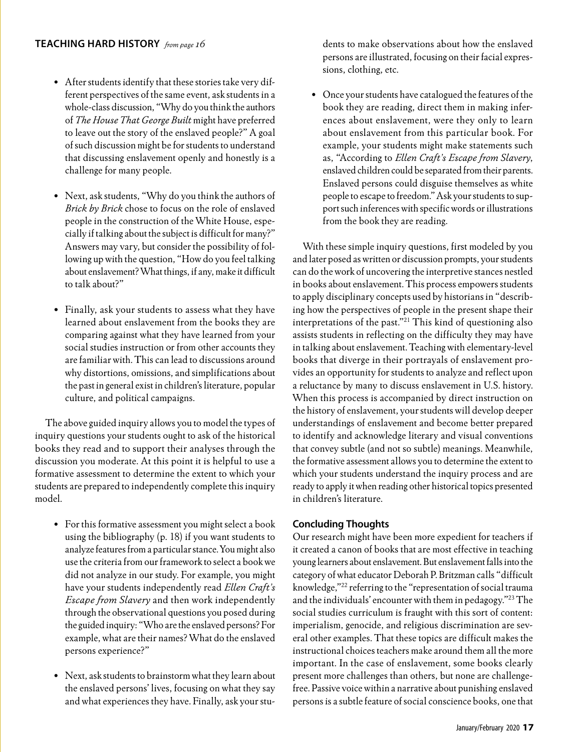#### **TEACHING HARD HISTORY** *from page 16*

- After students identify that these stories take very different perspectives of the same event, ask students in a whole-class discussion, "Why do you think the authors of *The House That George Built* might have preferred to leave out the story of the enslaved people?" A goal of such discussion might be for students to understand that discussing enslavement openly and honestly is a challenge for many people.
- Next, ask students, "Why do you think the authors of *Brick by Brick* chose to focus on the role of enslaved people in the construction of the White House, especially if talking about the subject is difficult for many?" Answers may vary, but consider the possibility of following up with the question, "How do you feel talking about enslavement? What things, if any, make it difficult to talk about?"
- Finally, ask your students to assess what they have learned about enslavement from the books they are comparing against what they have learned from your social studies instruction or from other accounts they are familiar with. This can lead to discussions around why distortions, omissions, and simplifications about the past in general exist in children's literature, popular culture, and political campaigns.

The above guided inquiry allows you to model the types of inquiry questions your students ought to ask of the historical books they read and to support their analyses through the discussion you moderate. At this point it is helpful to use a formative assessment to determine the extent to which your students are prepared to independently complete this inquiry model.

- For this formative assessment you might select a book using the bibliography (p. 18) if you want students to analyze features from a particular stance. You might also use the criteria from our framework to select a book we did not analyze in our study. For example, you might have your students independently read *Ellen Craft's Escape from Slavery* and then work independently through the observational questions you posed during the guided inquiry: "Who are the enslaved persons? For example, what are their names? What do the enslaved persons experience?"
- Next, ask students to brainstorm what they learn about the enslaved persons' lives, focusing on what they say and what experiences they have. Finally, ask your stu-

dents to make observations about how the enslaved persons are illustrated, focusing on their facial expressions, clothing, etc.

• Once your students have catalogued the features of the book they are reading, direct them in making inferences about enslavement, were they only to learn about enslavement from this particular book. For example, your students might make statements such as, "According to *Ellen Craft's Escape from Slavery*, enslaved children could be separated from their parents. Enslaved persons could disguise themselves as white people to escape to freedom." Ask your students to support such inferences with specific words or illustrations from the book they are reading.

With these simple inquiry questions, first modeled by you and later posed as written or discussion prompts, your students can do the work of uncovering the interpretive stances nestled in books about enslavement. This process empowers students to apply disciplinary concepts used by historians in "describing how the perspectives of people in the present shape their interpretations of the past."21 This kind of questioning also assists students in reflecting on the difficulty they may have in talking about enslavement. Teaching with elementary-level books that diverge in their portrayals of enslavement provides an opportunity for students to analyze and reflect upon a reluctance by many to discuss enslavement in U.S. history. When this process is accompanied by direct instruction on the history of enslavement, your students will develop deeper understandings of enslavement and become better prepared to identify and acknowledge literary and visual conventions that convey subtle (and not so subtle) meanings. Meanwhile, the formative assessment allows you to determine the extent to which your students understand the inquiry process and are ready to apply it when reading other historical topics presented in children's literature.

#### **Concluding Thoughts**

Our research might have been more expedient for teachers if it created a canon of books that are most effective in teaching young learners about enslavement. But enslavement falls into the category of what educator Deborah P. Britzman calls "difficult knowledge,"22 referring to the "representation of social trauma and the individuals' encounter with them in pedagogy."23 The social studies curriculum is fraught with this sort of content: imperialism, genocide, and religious discrimination are several other examples. That these topics are difficult makes the instructional choices teachers make around them all the more important. In the case of enslavement, some books clearly present more challenges than others, but none are challengefree. Passive voice within a narrative about punishing enslaved persons is a subtle feature of social conscience books, one that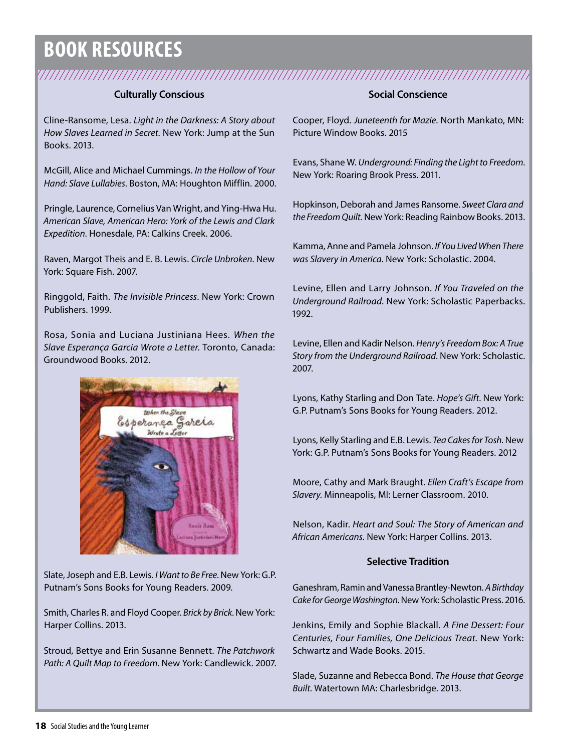## **BOOK RESOURCES**

### 

#### **Culturally Conscious**

Cline-Ransome, Lesa. *Light in the Darkness: A Story about How Slaves Learned in Secret*. New York: Jump at the Sun Books. 2013.

McGill, Alice and Michael Cummings. *In the Hollow of Your Hand: Slave Lullabies*. Boston, MA: Houghton Mifflin. 2000.

Pringle, Laurence, Cornelius Van Wright, and Ying-Hwa Hu. *American Slave, American Hero: York of the Lewis and Clark Expedition*. Honesdale, PA: Calkins Creek. 2006.

Raven, Margot Theis and E. B. Lewis. *Circle Unbroken*. New York: Square Fish. 2007.

Ringgold, Faith. *The Invisible Princess*. New York: Crown Publishers. 1999.

Rosa, Sonia and Luciana Justiniana Hees. *When the Slave Esperança Garcia Wrote a Letter*. Toronto, Canada: Groundwood Books. 2012.



Slate, Joseph and E.B. Lewis. *I Want to Be Free*. New York: G.P. Putnam's Sons Books for Young Readers. 2009.

Smith, Charles R. and Floyd Cooper. *Brick by Brick*. New York: Harper Collins. 2013.

Stroud, Bettye and Erin Susanne Bennett. *The Patchwork Path: A Quilt Map to Freedom*. New York: Candlewick. 2007.

#### **Social Conscience**

Cooper, Floyd. *Juneteenth for Mazie*. North Mankato, MN: Picture Window Books. 2015

Evans, Shane W. *Underground: Finding the Light to Freedom*. New York: Roaring Brook Press. 2011.

Hopkinson, Deborah and James Ransome. *Sweet Clara and the Freedom Quilt.* New York: Reading Rainbow Books. 2013.

Kamma, Anne and Pamela Johnson. *If You Lived When There was Slavery in America*. New York: Scholastic. 2004.

Levine, Ellen and Larry Johnson. *If You Traveled on the Underground Railroad*. New York: Scholastic Paperbacks. 1992.

Levine, Ellen and Kadir Nelson. *Henry's Freedom Box: A True Story from the Underground Railroad*. New York: Scholastic. 2007.

Lyons, Kathy Starling and Don Tate. *Hope's Gift*. New York: G.P. Putnam's Sons Books for Young Readers. 2012.

Lyons, Kelly Starling and E.B. Lewis. *Tea Cakes for Tosh*. New York: G.P. Putnam's Sons Books for Young Readers. 2012

Moore, Cathy and Mark Braught. *Ellen Craft's Escape from Slavery*. Minneapolis, MI: Lerner Classroom. 2010.

Nelson, Kadir. *Heart and Soul: The Story of American and African Americans*. New York: Harper Collins. 2013.

#### **Selective Tradition**

Ganeshram, Ramin and Vanessa Brantley-Newton. *A Birthday Cake for George Washington*. New York: Scholastic Press. 2016.

Jenkins, Emily and Sophie Blackall. *A Fine Dessert: Four Centuries, Four Families, One Delicious Treat*. New York: Schwartz and Wade Books. 2015.

Slade, Suzanne and Rebecca Bond. *The House that George Built*. Watertown MA: Charlesbridge. 2013.